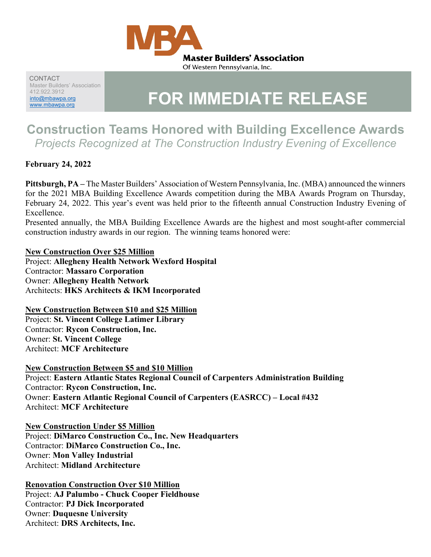

CONTACT Master Builders' Association 412.922.3912 [into@mbawpa.org](mailto:into@mbawpa.org)

# AT2.922.3912<br><u>into@mbawpa.org</u> **FOR IMMEDIATE RELEASE**

# **Construction Teams Honored with Building Excellence Awards** *Projects Recognized at The Construction Industry Evening of Excellence*

**February 24, 2022**

**Pittsburgh, PA –** The Master Builders' Association of Western Pennsylvania, Inc. (MBA) announced the winners for the 2021 MBA Building Excellence Awards competition during the MBA Awards Program on Thursday, February 24, 2022. This year's event was held prior to the fifteenth annual Construction Industry Evening of Excellence.

Presented annually, the MBA Building Excellence Awards are the highest and most sought-after commercial construction industry awards in our region. The winning teams honored were:

#### **New Construction Over \$25 Million**

Project: **Allegheny Health Network Wexford Hospital** Contractor: **Massaro Corporation** Owner: **Allegheny Health Network** Architects: **HKS Architects & IKM Incorporated**

#### **New Construction Between \$10 and \$25 Million**

Project: **St. Vincent College Latimer Library** Contractor: **Rycon Construction, Inc.** Owner: **St. Vincent College** Architect: **MCF Architecture**

#### **New Construction Between \$5 and \$10 Million**

Project: **Eastern Atlantic States Regional Council of Carpenters Administration Building** Contractor: **Rycon Construction, Inc.** Owner: **Eastern Atlantic Regional Council of Carpenters (EASRCC) – Local #432** Architect: **MCF Architecture**

#### **New Construction Under \$5 Million**

Project: **DiMarco Construction Co., Inc. New Headquarters** Contractor: **DiMarco Construction Co., Inc.** Owner: **Mon Valley Industrial** Architect: **Midland Architecture**

#### **Renovation Construction Over \$10 Million**

Project: **AJ Palumbo - Chuck Cooper Fieldhouse** Contractor: **PJ Dick Incorporated** Owner: **Duquesne University** Architect: **DRS Architects, Inc.**